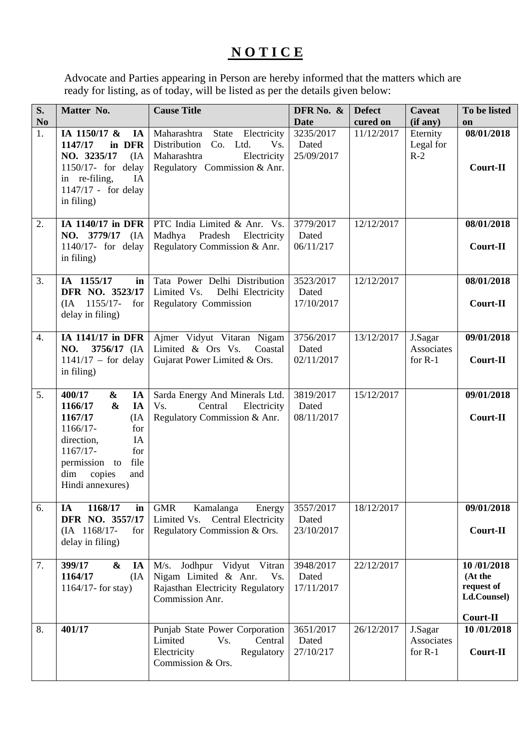## **N O T I C E**

Advocate and Parties appearing in Person are hereby informed that the matters which are ready for listing, as of today, will be listed as per the details given below:

| S.<br>N <sub>o</sub> | Matter No.                                                                                                                                                                                                | <b>Cause Title</b>                                                                                                                   | DFR No. &<br><b>Date</b>         | <b>Defect</b><br>cured on | <b>Caveat</b><br>(if any)          | To be listed<br>on                                             |
|----------------------|-----------------------------------------------------------------------------------------------------------------------------------------------------------------------------------------------------------|--------------------------------------------------------------------------------------------------------------------------------------|----------------------------------|---------------------------|------------------------------------|----------------------------------------------------------------|
| 1.                   | IA 1150/17 &<br>IA<br>1147/17<br>in DFR<br>NO. 3235/17<br>(IA)<br>1150/17- for delay<br>IA<br>in re-filing,<br>1147/17 - for delay<br>in filing)                                                          | State<br>Electricity<br>Maharashtra<br>Distribution<br>Co. Ltd.<br>Vs.<br>Maharashtra<br>Electricity<br>Regulatory Commission & Anr. | 3235/2017<br>Dated<br>25/09/2017 | 11/12/2017                | Eternity<br>Legal for<br>$R-2$     | 08/01/2018<br>Court-II                                         |
| 2.                   | IA 1140/17 in DFR<br>NO. 3779/17 (IA<br>1140/17- for delay<br>in filing)                                                                                                                                  | PTC India Limited & Anr. Vs.<br>Madhya<br>Pradesh<br>Electricity<br>Regulatory Commission & Anr.                                     | 3779/2017<br>Dated<br>06/11/217  | 12/12/2017                |                                    | 08/01/2018<br>Court-II                                         |
| 3.                   | IA 1155/17<br>in<br>DFR NO. 3523/17<br>1155/17-<br>for<br>(IA<br>delay in filing)                                                                                                                         | Tata Power Delhi Distribution<br>Delhi Electricity<br>Limited Vs.<br>Regulatory Commission                                           | 3523/2017<br>Dated<br>17/10/2017 | 12/12/2017                |                                    | 08/01/2018<br>Court-II                                         |
| 4.                   | IA 1141/17 in DFR<br>NO.<br>3756/17 (IA<br>$1141/17$ – for delay<br>in filing)                                                                                                                            | Ajmer Vidyut Vitaran Nigam<br>Limited & Ors Vs.<br>Coastal<br>Gujarat Power Limited & Ors.                                           | 3756/2017<br>Dated<br>02/11/2017 | 13/12/2017                | J.Sagar<br>Associates<br>for $R-1$ | 09/01/2018<br>Court-II                                         |
| 5.                   | 400/17<br>&<br>IA<br>IA<br>1166/17<br>$\boldsymbol{\&}$<br>1167/17<br>(IA)<br>1166/17-<br>for<br>direction,<br>IA<br>1167/17-<br>for<br>file<br>permission to<br>dim<br>copies<br>and<br>Hindi annexures) | Sarda Energy And Minerals Ltd.<br>Central<br>Electricity<br>Vs.<br>Regulatory Commission & Anr.                                      | 3819/2017<br>Dated<br>08/11/2017 | 15/12/2017                |                                    | 09/01/2018<br>Court-II                                         |
| 6.                   | IA<br>1168/17<br>in<br>DFR NO. 3557/17<br>$(IA \t1168/17-$<br>for<br>delay in filing)                                                                                                                     | <b>GMR</b><br>Kamalanga<br>Energy<br>Limited Vs.<br><b>Central Electricity</b><br>Regulatory Commission & Ors.                       | 3557/2017<br>Dated<br>23/10/2017 | 18/12/2017                |                                    | 09/01/2018<br>Court-II                                         |
| 7.                   | 399/17<br>$\boldsymbol{\&}$<br>IA<br>1164/17<br>(IA)<br>1164/17- for stay)                                                                                                                                | Jodhpur Vidyut Vitran<br>M/s.<br>Nigam Limited & Anr.<br>Vs.<br>Rajasthan Electricity Regulatory<br>Commission Anr.                  | 3948/2017<br>Dated<br>17/11/2017 | 22/12/2017                |                                    | 10/01/2018<br>(At the<br>request of<br>Ld.Counsel)<br>Court-II |
| 8.                   | 401/17                                                                                                                                                                                                    | Punjab State Power Corporation<br>Central<br>Limited<br>Vs.<br>Electricity<br>Regulatory<br>Commission & Ors.                        | 3651/2017<br>Dated<br>27/10/217  | 26/12/2017                | J.Sagar<br>Associates<br>for $R-1$ | 10/01/2018<br>Court-II                                         |